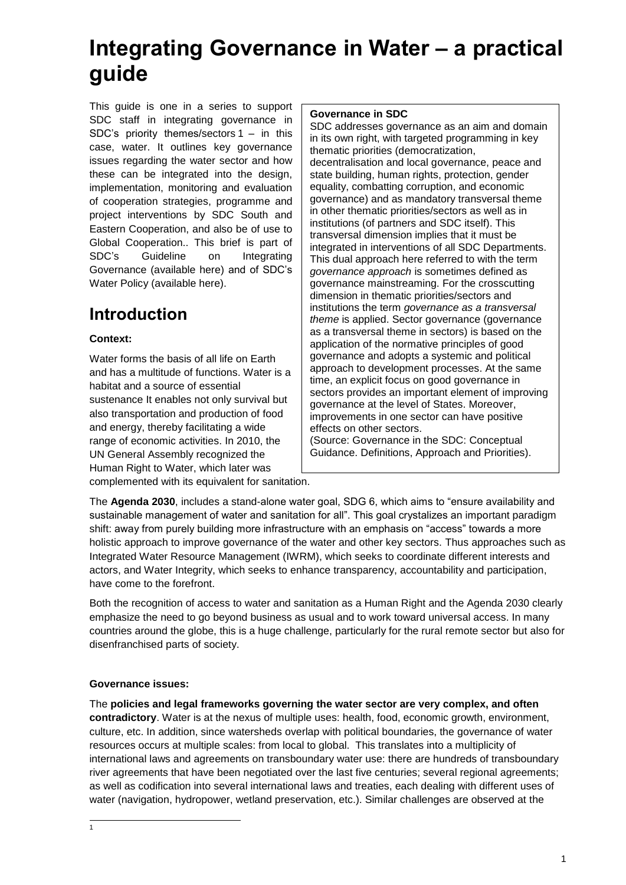# **Integrating Governance in Water – a practical guide**

This guide is one in a series to support SDC staff in integrating governance in SDC's priority themes/sectors 1 – in this case, water. It outlines key governance issues regarding the water sector and how these can be integrated into the design, implementation, monitoring and evaluation of cooperation strategies, programme and project interventions by SDC South and Eastern Cooperation, and also be of use to Global Cooperation.. This brief is part of SDC's Guideline on Integrating Governance (available here) and of SDC's Water Policy (available here).

## **Introduction**

## **Context:**

Water forms the basis of all life on Earth and has a multitude of functions. Water is a habitat and a source of essential sustenance It enables not only survival but also transportation and production of food and energy, thereby facilitating a wide range of economic activities. In 2010, the UN General Assembly recognized the Human Right to Water, which later was complemented with its equivalent for sanitation.

### **Governance in SDC**

SDC addresses governance as an aim and domain in its own right, with targeted programming in key thematic priorities (democratization, decentralisation and local governance, peace and state building, human rights, protection, gender equality, combatting corruption, and economic governance) and as mandatory transversal theme in other thematic priorities/sectors as well as in institutions (of partners and SDC itself). This transversal dimension implies that it must be integrated in interventions of all SDC Departments. This dual approach here referred to with the term *governance approach* is sometimes defined as governance mainstreaming. For the crosscutting dimension in thematic priorities/sectors and institutions the term *governance as a transversal theme* is applied. Sector governance (governance as a transversal theme in sectors) is based on the application of the normative principles of good governance and adopts a systemic and political approach to development processes. At the same time, an explicit focus on good governance in sectors provides an important element of improving governance at the level of States. Moreover, improvements in one sector can have positive effects on other sectors.

(Source: Governance in the SDC: Conceptual Guidance. Definitions, Approach and Priorities).

The **Agenda 2030**, includes a stand-alone water goal, SDG 6, which aims to "ensure availability and sustainable management of water and sanitation for all". This goal crystalizes an important paradigm shift: away from purely building more infrastructure with an emphasis on "access" towards a more holistic approach to improve governance of the water and other key sectors. Thus approaches such as Integrated Water Resource Management (IWRM), which seeks to coordinate different interests and actors, and Water Integrity, which seeks to enhance transparency, accountability and participation, have come to the forefront.

Both the recognition of access to water and sanitation as a Human Right and the Agenda 2030 clearly emphasize the need to go beyond business as usual and to work toward universal access. In many countries around the globe, this is a huge challenge, particularly for the rural remote sector but also for disenfranchised parts of society.

## **Governance issues:**

-<br>1

The **policies and legal frameworks governing the water sector are very complex, and often contradictory**. Water is at the nexus of multiple uses: health, food, economic growth, environment, culture, etc. In addition, since watersheds overlap with political boundaries, the governance of water resources occurs at multiple scales: from local to global. This translates into a multiplicity of international laws and agreements on transboundary water use: there are hundreds of transboundary river agreements that have been negotiated over the last five centuries; several regional agreements; as well as codification into several international laws and treaties, each dealing with different uses of water (navigation, hydropower, wetland preservation, etc.). Similar challenges are observed at the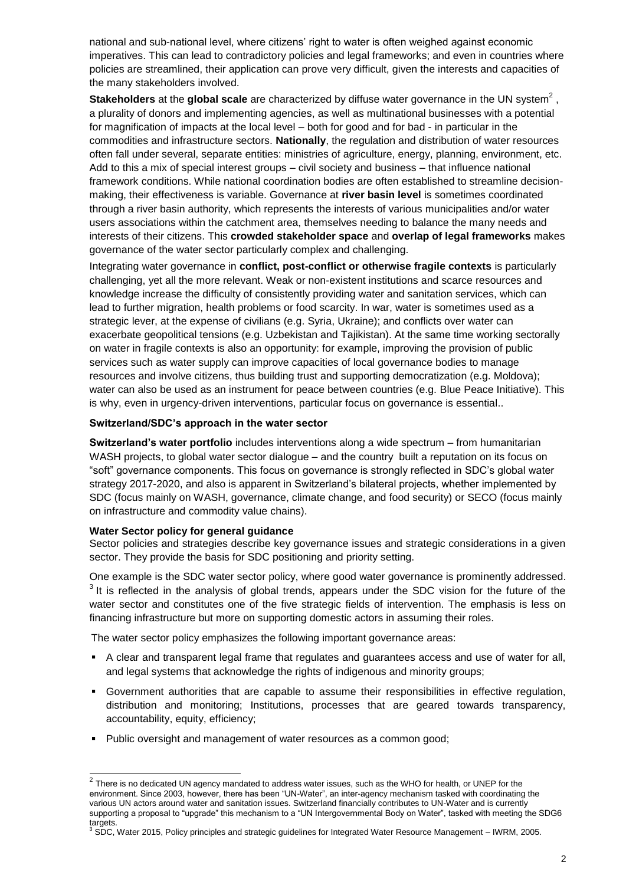national and sub-national level, where citizens' right to water is often weighed against economic imperatives. This can lead to contradictory policies and legal frameworks; and even in countries where policies are streamlined, their application can prove very difficult, given the interests and capacities of the many stakeholders involved.

**Stakeholders** at the **global scale** are characterized by diffuse water governance in the UN system<sup>2</sup>, a plurality of donors and implementing agencies, as well as multinational businesses with a potential for magnification of impacts at the local level – both for good and for bad - in particular in the commodities and infrastructure sectors. **Nationally**, the regulation and distribution of water resources often fall under several, separate entities: ministries of agriculture, energy, planning, environment, etc. Add to this a mix of special interest groups – civil society and business – that influence national framework conditions. While national coordination bodies are often established to streamline decisionmaking, their effectiveness is variable. Governance at **river basin level** is sometimes coordinated through a river basin authority, which represents the interests of various municipalities and/or water users associations within the catchment area, themselves needing to balance the many needs and interests of their citizens. This **crowded stakeholder space** and **overlap of legal frameworks** makes governance of the water sector particularly complex and challenging.

Integrating water governance in **conflict, post-conflict or otherwise fragile contexts** is particularly challenging, yet all the more relevant. Weak or non-existent institutions and scarce resources and knowledge increase the difficulty of consistently providing water and sanitation services, which can lead to further migration, health problems or food scarcity. In war, water is sometimes used as a strategic lever, at the expense of civilians (e.g. Syria, Ukraine); and conflicts over water can exacerbate geopolitical tensions (e.g. Uzbekistan and Tajikistan). At the same time working sectorally on water in fragile contexts is also an opportunity: for example, improving the provision of public services such as water supply can improve capacities of local governance bodies to manage resources and involve citizens, thus building trust and supporting democratization (e.g. Moldova); water can also be used as an instrument for peace between countries (e.g. Blue Peace Initiative). This is why, even in urgency-driven interventions, particular focus on governance is essential..

### **Switzerland/SDC's approach in the water sector**

**Switzerland's water portfolio** includes interventions along a wide spectrum – from humanitarian WASH projects, to global water sector dialogue – and the country built a reputation on its focus on "soft" governance components. This focus on governance is strongly reflected in SDC's global water strategy 2017-2020, and also is apparent in Switzerland's bilateral projects, whether implemented by SDC (focus mainly on WASH, governance, climate change, and food security) or SECO (focus mainly on infrastructure and commodity value chains).

### **Water Sector policy for general guidance**

Sector policies and strategies describe key governance issues and strategic considerations in a given sector. They provide the basis for SDC positioning and priority setting.

One example is the SDC water sector policy, where good water governance is prominently addressed.  $3$  It is reflected in the analysis of global trends, appears under the SDC vision for the future of the water sector and constitutes one of the five strategic fields of intervention. The emphasis is less on financing infrastructure but more on supporting domestic actors in assuming their roles.

The water sector policy emphasizes the following important governance areas:

- A clear and transparent legal frame that regulates and guarantees access and use of water for all, and legal systems that acknowledge the rights of indigenous and minority groups;
- Government authorities that are capable to assume their responsibilities in effective regulation, distribution and monitoring; Institutions, processes that are geared towards transparency, accountability, equity, efficiency;
- Public oversight and management of water resources as a common good;

 2 There is no dedicated UN agency mandated to address water issues, such as the WHO for health, or UNEP for the environment. Since 2003, however, there has been "UN-Water", an inter-agency mechanism tasked with coordinating the various UN actors around water and sanitation issues. Switzerland financially contributes to UN-Water and is currently supporting a proposal to "upgrade" this mechanism to a "UN Intergovernmental Body on Water", tasked with meeting the SDG6 targets.

 $3$  SDC, Water 2015, Policy principles and strategic guidelines for Integrated Water Resource Management – IWRM, 2005.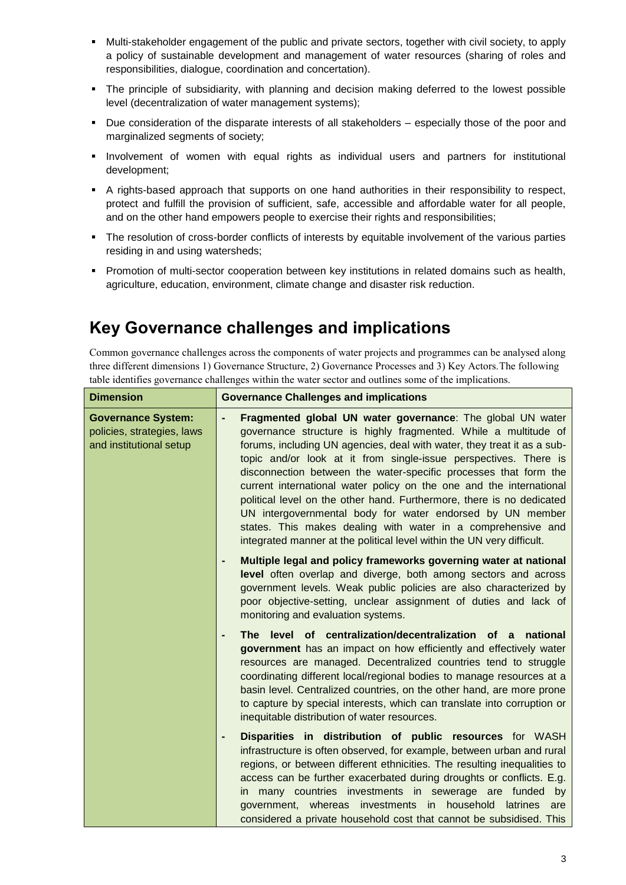- Multi-stakeholder engagement of the public and private sectors, together with civil society, to apply a policy of sustainable development and management of water resources (sharing of roles and responsibilities, dialogue, coordination and concertation).
- The principle of subsidiarity, with planning and decision making deferred to the lowest possible level (decentralization of water management systems);
- Due consideration of the disparate interests of all stakeholders especially those of the poor and marginalized segments of society;
- **Involvement of women with equal rights as individual users and partners for institutional** development;
- A rights-based approach that supports on one hand authorities in their responsibility to respect, protect and fulfill the provision of sufficient, safe, accessible and affordable water for all people, and on the other hand empowers people to exercise their rights and responsibilities;
- The resolution of cross-border conflicts of interests by equitable involvement of the various parties residing in and using watersheds;
- **Promotion of multi-sector cooperation between key institutions in related domains such as health,** agriculture, education, environment, climate change and disaster risk reduction.

## **Key Governance challenges and implications**

Common governance challenges across the components of water projects and programmes can be analysed along three different dimensions 1) Governance Structure, 2) Governance Processes and 3) Key Actors.The following table identifies governance challenges within the water sector and outlines some of the implications.

| <b>Dimension</b>                                                                   | <b>Governance Challenges and implications</b>                                                                                                                                                                                                                                                                                                                                                                                                                                                                                                                                                                                                                                                           |
|------------------------------------------------------------------------------------|---------------------------------------------------------------------------------------------------------------------------------------------------------------------------------------------------------------------------------------------------------------------------------------------------------------------------------------------------------------------------------------------------------------------------------------------------------------------------------------------------------------------------------------------------------------------------------------------------------------------------------------------------------------------------------------------------------|
| <b>Governance System:</b><br>policies, strategies, laws<br>and institutional setup | Fragmented global UN water governance: The global UN water<br>governance structure is highly fragmented. While a multitude of<br>forums, including UN agencies, deal with water, they treat it as a sub-<br>topic and/or look at it from single-issue perspectives. There is<br>disconnection between the water-specific processes that form the<br>current international water policy on the one and the international<br>political level on the other hand. Furthermore, there is no dedicated<br>UN intergovernmental body for water endorsed by UN member<br>states. This makes dealing with water in a comprehensive and<br>integrated manner at the political level within the UN very difficult. |
|                                                                                    | Multiple legal and policy frameworks governing water at national<br>level often overlap and diverge, both among sectors and across<br>government levels. Weak public policies are also characterized by<br>poor objective-setting, unclear assignment of duties and lack of<br>monitoring and evaluation systems.                                                                                                                                                                                                                                                                                                                                                                                       |
|                                                                                    | The level of centralization/decentralization of a national<br>government has an impact on how efficiently and effectively water<br>resources are managed. Decentralized countries tend to struggle<br>coordinating different local/regional bodies to manage resources at a<br>basin level. Centralized countries, on the other hand, are more prone<br>to capture by special interests, which can translate into corruption or<br>inequitable distribution of water resources.                                                                                                                                                                                                                         |
|                                                                                    | Disparities in distribution of public resources for WASH<br>infrastructure is often observed, for example, between urban and rural<br>regions, or between different ethnicities. The resulting inequalities to<br>access can be further exacerbated during droughts or conflicts. E.g.<br>in many countries investments in sewerage are funded by<br>government, whereas investments in household latrines<br>are<br>considered a private household cost that cannot be subsidised. This                                                                                                                                                                                                                |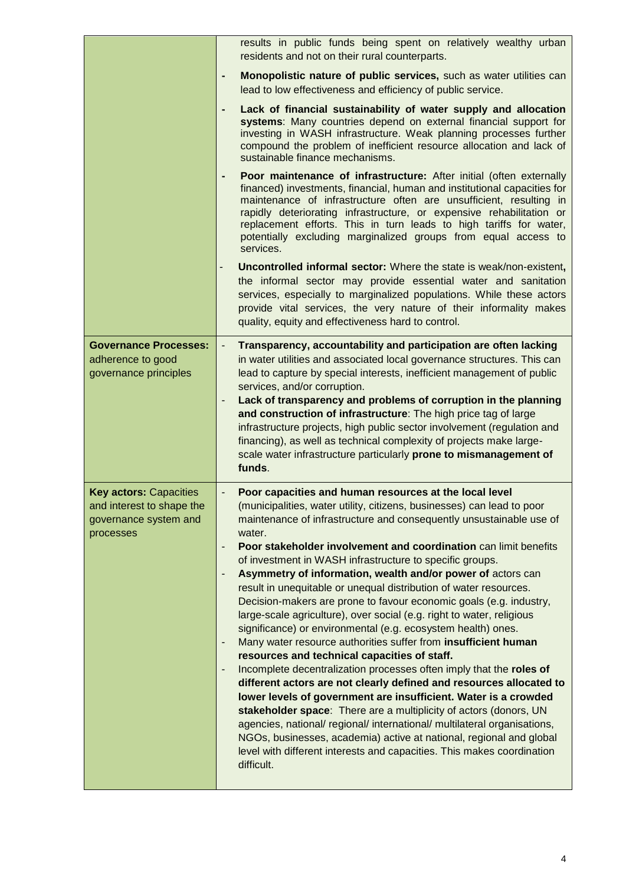|                                                                                                  | results in public funds being spent on relatively wealthy urban<br>residents and not on their rural counterparts.                                                                                                                                                                                                                                                                                                                                                                                                                                                                                                                                                                                                                                                                                                                                                                                                                                                                                                                                                                                                                                                                                                                                                                                                                                                                            |
|--------------------------------------------------------------------------------------------------|----------------------------------------------------------------------------------------------------------------------------------------------------------------------------------------------------------------------------------------------------------------------------------------------------------------------------------------------------------------------------------------------------------------------------------------------------------------------------------------------------------------------------------------------------------------------------------------------------------------------------------------------------------------------------------------------------------------------------------------------------------------------------------------------------------------------------------------------------------------------------------------------------------------------------------------------------------------------------------------------------------------------------------------------------------------------------------------------------------------------------------------------------------------------------------------------------------------------------------------------------------------------------------------------------------------------------------------------------------------------------------------------|
|                                                                                                  | Monopolistic nature of public services, such as water utilities can<br>٠<br>lead to low effectiveness and efficiency of public service.                                                                                                                                                                                                                                                                                                                                                                                                                                                                                                                                                                                                                                                                                                                                                                                                                                                                                                                                                                                                                                                                                                                                                                                                                                                      |
|                                                                                                  | Lack of financial sustainability of water supply and allocation<br>systems: Many countries depend on external financial support for<br>investing in WASH infrastructure. Weak planning processes further<br>compound the problem of inefficient resource allocation and lack of<br>sustainable finance mechanisms.                                                                                                                                                                                                                                                                                                                                                                                                                                                                                                                                                                                                                                                                                                                                                                                                                                                                                                                                                                                                                                                                           |
|                                                                                                  | Poor maintenance of infrastructure: After initial (often externally<br>financed) investments, financial, human and institutional capacities for<br>maintenance of infrastructure often are unsufficient, resulting in<br>rapidly deteriorating infrastructure, or expensive rehabilitation or<br>replacement efforts. This in turn leads to high tariffs for water,<br>potentially excluding marginalized groups from equal access to<br>services.                                                                                                                                                                                                                                                                                                                                                                                                                                                                                                                                                                                                                                                                                                                                                                                                                                                                                                                                           |
|                                                                                                  | Uncontrolled informal sector: Where the state is weak/non-existent,<br>the informal sector may provide essential water and sanitation<br>services, especially to marginalized populations. While these actors<br>provide vital services, the very nature of their informality makes<br>quality, equity and effectiveness hard to control.                                                                                                                                                                                                                                                                                                                                                                                                                                                                                                                                                                                                                                                                                                                                                                                                                                                                                                                                                                                                                                                    |
| <b>Governance Processes:</b><br>adherence to good<br>governance principles                       | Transparency, accountability and participation are often lacking<br>$\overline{\phantom{a}}$<br>in water utilities and associated local governance structures. This can<br>lead to capture by special interests, inefficient management of public<br>services, and/or corruption.<br>Lack of transparency and problems of corruption in the planning<br>and construction of infrastructure: The high price tag of large<br>infrastructure projects, high public sector involvement (regulation and<br>financing), as well as technical complexity of projects make large-<br>scale water infrastructure particularly prone to mismanagement of<br>funds.                                                                                                                                                                                                                                                                                                                                                                                                                                                                                                                                                                                                                                                                                                                                     |
| <b>Key actors: Capacities</b><br>and interest to shape the<br>governance system and<br>processes | Poor capacities and human resources at the local level<br>(municipalities, water utility, citizens, businesses) can lead to poor<br>maintenance of infrastructure and consequently unsustainable use of<br>water.<br>Poor stakeholder involvement and coordination can limit benefits<br>$\qquad \qquad \blacksquare$<br>of investment in WASH infrastructure to specific groups.<br>Asymmetry of information, wealth and/or power of actors can<br>result in unequitable or unequal distribution of water resources.<br>Decision-makers are prone to favour economic goals (e.g. industry,<br>large-scale agriculture), over social (e.g. right to water, religious<br>significance) or environmental (e.g. ecosystem health) ones.<br>Many water resource authorities suffer from insufficient human<br>٠<br>resources and technical capacities of staff.<br>Incomplete decentralization processes often imply that the roles of<br>different actors are not clearly defined and resources allocated to<br>lower levels of government are insufficient. Water is a crowded<br>stakeholder space: There are a multiplicity of actors (donors, UN<br>agencies, national/ regional/ international/ multilateral organisations,<br>NGOs, businesses, academia) active at national, regional and global<br>level with different interests and capacities. This makes coordination<br>difficult. |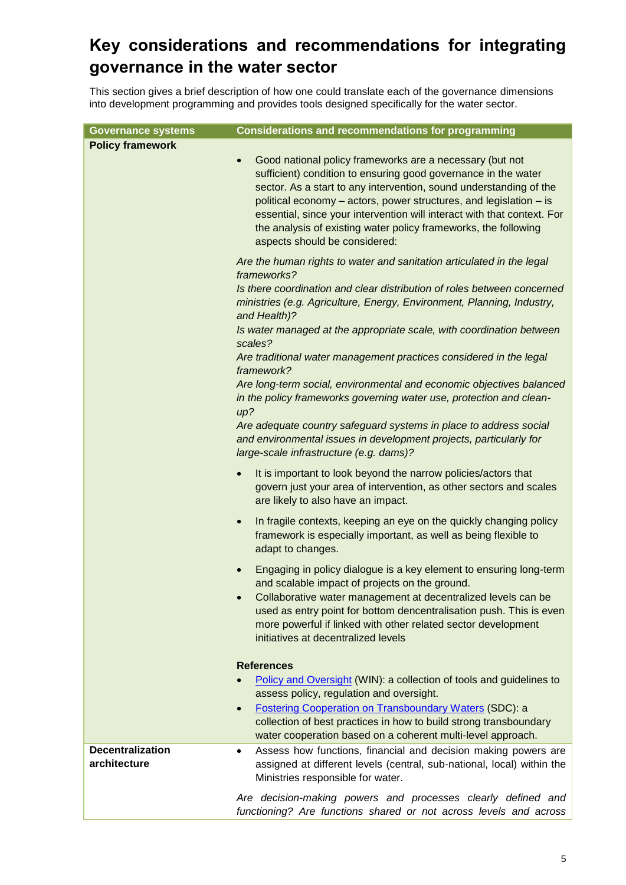## **Key considerations and recommendations for integrating governance in the water sector**

This section gives a brief description of how one could translate each of the governance dimensions into development programming and provides tools designed specifically for the water sector.

| <b>Governance systems</b>               | <b>Considerations and recommendations for programming</b>                                                                                                                                                                                                                                                                                                                                                                                                          |
|-----------------------------------------|--------------------------------------------------------------------------------------------------------------------------------------------------------------------------------------------------------------------------------------------------------------------------------------------------------------------------------------------------------------------------------------------------------------------------------------------------------------------|
| <b>Policy framework</b>                 |                                                                                                                                                                                                                                                                                                                                                                                                                                                                    |
|                                         | Good national policy frameworks are a necessary (but not<br>$\bullet$<br>sufficient) condition to ensuring good governance in the water<br>sector. As a start to any intervention, sound understanding of the<br>political economy - actors, power structures, and legislation - is<br>essential, since your intervention will interact with that context. For<br>the analysis of existing water policy frameworks, the following<br>aspects should be considered: |
|                                         | Are the human rights to water and sanitation articulated in the legal<br>frameworks?<br>Is there coordination and clear distribution of roles between concerned<br>ministries (e.g. Agriculture, Energy, Environment, Planning, Industry,                                                                                                                                                                                                                          |
|                                         | and Health)?<br>Is water managed at the appropriate scale, with coordination between                                                                                                                                                                                                                                                                                                                                                                               |
|                                         | scales?<br>Are traditional water management practices considered in the legal<br>framework?                                                                                                                                                                                                                                                                                                                                                                        |
|                                         | Are long-term social, environmental and economic objectives balanced<br>in the policy frameworks governing water use, protection and clean-<br>up?                                                                                                                                                                                                                                                                                                                 |
|                                         | Are adequate country safeguard systems in place to address social<br>and environmental issues in development projects, particularly for<br>large-scale infrastructure (e.g. dams)?                                                                                                                                                                                                                                                                                 |
|                                         | It is important to look beyond the narrow policies/actors that<br>$\bullet$<br>govern just your area of intervention, as other sectors and scales<br>are likely to also have an impact.                                                                                                                                                                                                                                                                            |
|                                         | In fragile contexts, keeping an eye on the quickly changing policy<br>$\bullet$<br>framework is especially important, as well as being flexible to<br>adapt to changes.                                                                                                                                                                                                                                                                                            |
|                                         | Engaging in policy dialogue is a key element to ensuring long-term<br>and scalable impact of projects on the ground.                                                                                                                                                                                                                                                                                                                                               |
|                                         | Collaborative water management at decentralized levels can be<br>used as entry point for bottom dencentralisation push. This is even<br>more powerful if linked with other related sector development<br>initiatives at decentralized levels                                                                                                                                                                                                                       |
|                                         | <b>References</b>                                                                                                                                                                                                                                                                                                                                                                                                                                                  |
|                                         | Policy and Oversight (WIN): a collection of tools and guidelines to<br>assess policy, regulation and oversight.                                                                                                                                                                                                                                                                                                                                                    |
|                                         | <b>Fostering Cooperation on Transboundary Waters (SDC): a</b><br>$\bullet$<br>collection of best practices in how to build strong transboundary<br>water cooperation based on a coherent multi-level approach.                                                                                                                                                                                                                                                     |
| <b>Decentralization</b><br>architecture | Assess how functions, financial and decision making powers are<br>$\bullet$<br>assigned at different levels (central, sub-national, local) within the<br>Ministries responsible for water.                                                                                                                                                                                                                                                                         |
|                                         | Are decision-making powers and processes clearly defined and<br>functioning? Are functions shared or not across levels and across                                                                                                                                                                                                                                                                                                                                  |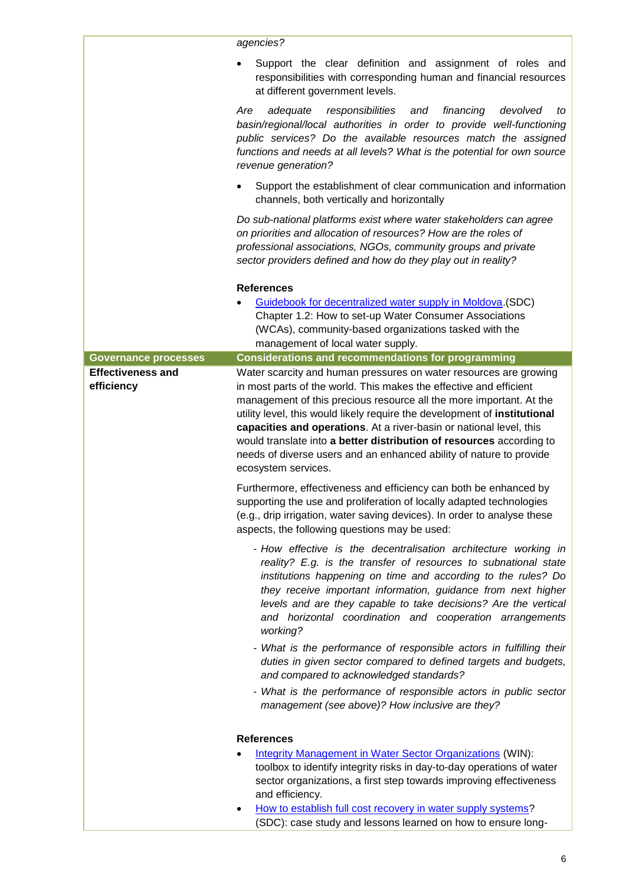|                                        | agencies?                                                                                                                                                                                                                                                                                                                                                                                                                                                                                                                                |
|----------------------------------------|------------------------------------------------------------------------------------------------------------------------------------------------------------------------------------------------------------------------------------------------------------------------------------------------------------------------------------------------------------------------------------------------------------------------------------------------------------------------------------------------------------------------------------------|
|                                        | Support the clear definition and assignment of roles and<br>responsibilities with corresponding human and financial resources<br>at different government levels.                                                                                                                                                                                                                                                                                                                                                                         |
|                                        | Are<br>responsibilities<br>and<br>financing<br>adequate<br>devolved<br>to<br>basin/regional/local authorities in order to provide well-functioning<br>public services? Do the available resources match the assigned<br>functions and needs at all levels? What is the potential for own source<br>revenue generation?                                                                                                                                                                                                                   |
|                                        | Support the establishment of clear communication and information<br>$\bullet$<br>channels, both vertically and horizontally                                                                                                                                                                                                                                                                                                                                                                                                              |
|                                        | Do sub-national platforms exist where water stakeholders can agree<br>on priorities and allocation of resources? How are the roles of<br>professional associations, NGOs, community groups and private<br>sector providers defined and how do they play out in reality?                                                                                                                                                                                                                                                                  |
|                                        | <b>References</b><br>Guidebook for decentralized water supply in Moldova (SDC)<br>Chapter 1.2: How to set-up Water Consumer Associations<br>(WCAs), community-based organizations tasked with the<br>management of local water supply.                                                                                                                                                                                                                                                                                                   |
| <b>Governance processes</b>            | <b>Considerations and recommendations for programming</b>                                                                                                                                                                                                                                                                                                                                                                                                                                                                                |
| <b>Effectiveness and</b><br>efficiency | Water scarcity and human pressures on water resources are growing<br>in most parts of the world. This makes the effective and efficient<br>management of this precious resource all the more important. At the<br>utility level, this would likely require the development of institutional<br>capacities and operations. At a river-basin or national level, this<br>would translate into a better distribution of resources according to<br>needs of diverse users and an enhanced ability of nature to provide<br>ecosystem services. |
|                                        | Furthermore, effectiveness and efficiency can both be enhanced by<br>supporting the use and proliferation of locally adapted technologies<br>(e.g., drip irrigation, water saving devices). In order to analyse these<br>aspects, the following questions may be used:                                                                                                                                                                                                                                                                   |
|                                        | - How effective is the decentralisation architecture working in<br>reality? E.g. is the transfer of resources to subnational state<br>institutions happening on time and according to the rules? Do<br>they receive important information, guidance from next higher<br>levels and are they capable to take decisions? Are the vertical<br>and horizontal coordination and cooperation arrangements<br>working?                                                                                                                          |
|                                        | - What is the performance of responsible actors in fulfilling their<br>duties in given sector compared to defined targets and budgets,<br>and compared to acknowledged standards?                                                                                                                                                                                                                                                                                                                                                        |
|                                        | - What is the performance of responsible actors in public sector<br>management (see above)? How inclusive are they?                                                                                                                                                                                                                                                                                                                                                                                                                      |
|                                        | <b>References</b>                                                                                                                                                                                                                                                                                                                                                                                                                                                                                                                        |
|                                        | <b>Integrity Management in Water Sector Organizations (WIN):</b><br>toolbox to identify integrity risks in day-to-day operations of water<br>sector organizations, a first step towards improving effectiveness<br>and efficiency.                                                                                                                                                                                                                                                                                                       |
|                                        | How to establish full cost recovery in water supply systems?<br>(SDC): case study and lessons learned on how to ensure long-                                                                                                                                                                                                                                                                                                                                                                                                             |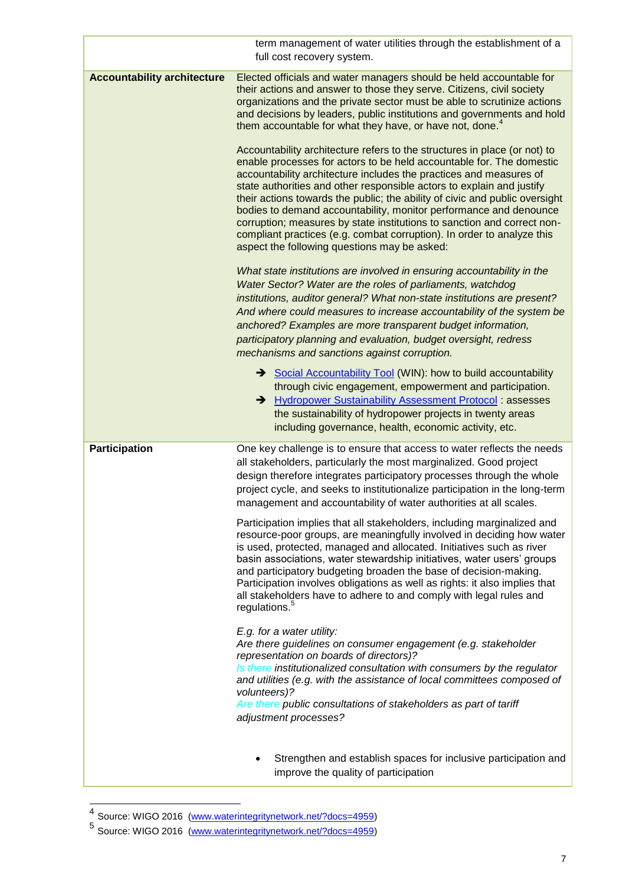|                                    | term management of water utilities through the establishment of a<br>full cost recovery system.                                                                                                                                                                                                                                                                                                                                                                                                                                                                                                                                                           |
|------------------------------------|-----------------------------------------------------------------------------------------------------------------------------------------------------------------------------------------------------------------------------------------------------------------------------------------------------------------------------------------------------------------------------------------------------------------------------------------------------------------------------------------------------------------------------------------------------------------------------------------------------------------------------------------------------------|
| <b>Accountability architecture</b> | Elected officials and water managers should be held accountable for<br>their actions and answer to those they serve. Citizens, civil society<br>organizations and the private sector must be able to scrutinize actions<br>and decisions by leaders, public institutions and governments and hold<br>them accountable for what they have, or have not, done. <sup>4</sup>                                                                                                                                                                                                                                                                                 |
|                                    | Accountability architecture refers to the structures in place (or not) to<br>enable processes for actors to be held accountable for. The domestic<br>accountability architecture includes the practices and measures of<br>state authorities and other responsible actors to explain and justify<br>their actions towards the public; the ability of civic and public oversight<br>bodies to demand accountability, monitor performance and denounce<br>corruption; measures by state institutions to sanction and correct non-<br>compliant practices (e.g. combat corruption). In order to analyze this<br>aspect the following questions may be asked: |
|                                    | What state institutions are involved in ensuring accountability in the<br>Water Sector? Water are the roles of parliaments, watchdog<br>institutions, auditor general? What non-state institutions are present?<br>And where could measures to increase accountability of the system be<br>anchored? Examples are more transparent budget information,<br>participatory planning and evaluation, budget oversight, redress<br>mechanisms and sanctions against corruption.                                                                                                                                                                                |
|                                    | Social Accountability Tool (WIN): how to build accountability<br>through civic engagement, empowerment and participation.<br>→ Hydropower Sustainability Assessment Protocol : assesses<br>the sustainability of hydropower projects in twenty areas<br>including governance, health, economic activity, etc.                                                                                                                                                                                                                                                                                                                                             |
| <b>Participation</b>               | One key challenge is to ensure that access to water reflects the needs<br>all stakeholders, particularly the most marginalized. Good project<br>design therefore integrates participatory processes through the whole<br>project cycle, and seeks to institutionalize participation in the long-term<br>management and accountability of water authorities at all scales                                                                                                                                                                                                                                                                                  |
|                                    | Participation implies that all stakeholders, including marginalized and<br>resource-poor groups, are meaningfully involved in deciding how water<br>is used, protected, managed and allocated. Initiatives such as river<br>basin associations, water stewardship initiatives, water users' groups<br>and participatory budgeting broaden the base of decision-making.<br>Participation involves obligations as well as rights: it also implies that<br>all stakeholders have to adhere to and comply with legal rules and<br>regulations. <sup>5</sup>                                                                                                   |
|                                    | E.g. for a water utility:<br>Are there guidelines on consumer engagement (e.g. stakeholder<br>representation on boards of directors)?<br>Is there institutionalized consultation with consumers by the regulator<br>and utilities (e.g. with the assistance of local committees composed of<br>volunteers)?                                                                                                                                                                                                                                                                                                                                               |
|                                    | Are there public consultations of stakeholders as part of tariff<br>adjustment processes?                                                                                                                                                                                                                                                                                                                                                                                                                                                                                                                                                                 |
|                                    | Strengthen and establish spaces for inclusive participation and<br>improve the quality of participation                                                                                                                                                                                                                                                                                                                                                                                                                                                                                                                                                   |

<sup>—&</sup>lt;br><sup>4</sup> Source: WIGO 2016 [\(www.waterintegritynetwork.net/?docs=4959\)](http://www.waterintegritynetwork.net/?docs=4959)

<sup>5&</sup>lt;br>Source: WIGO 2016 [\(www.waterintegritynetwork.net/?docs=4959\)](http://www.waterintegritynetwork.net/?docs=4959)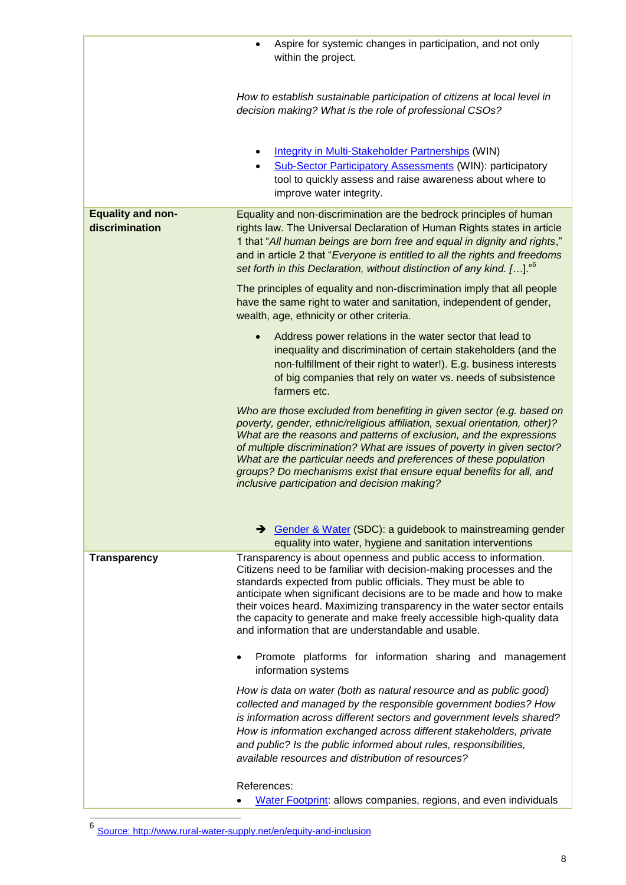|                                            | Aspire for systemic changes in participation, and not only<br>$\bullet$<br>within the project.                                                                                                                                                                                                                                                                                                                                                                                                    |
|--------------------------------------------|---------------------------------------------------------------------------------------------------------------------------------------------------------------------------------------------------------------------------------------------------------------------------------------------------------------------------------------------------------------------------------------------------------------------------------------------------------------------------------------------------|
|                                            |                                                                                                                                                                                                                                                                                                                                                                                                                                                                                                   |
|                                            | How to establish sustainable participation of citizens at local level in<br>decision making? What is the role of professional CSOs?                                                                                                                                                                                                                                                                                                                                                               |
|                                            | <b>Integrity in Multi-Stakeholder Partnerships (WIN)</b><br><b>Sub-Sector Participatory Assessments (WIN): participatory</b><br>tool to quickly assess and raise awareness about where to<br>improve water integrity.                                                                                                                                                                                                                                                                             |
| <b>Equality and non-</b><br>discrimination | Equality and non-discrimination are the bedrock principles of human<br>rights law. The Universal Declaration of Human Rights states in article<br>1 that "All human beings are born free and equal in dignity and rights,"<br>and in article 2 that "Everyone is entitled to all the rights and freedoms<br>set forth in this Declaration, without distinction of any kind. []." <sup>6</sup>                                                                                                     |
|                                            | The principles of equality and non-discrimination imply that all people<br>have the same right to water and sanitation, independent of gender,<br>wealth, age, ethnicity or other criteria.                                                                                                                                                                                                                                                                                                       |
|                                            | Address power relations in the water sector that lead to<br>$\bullet$<br>inequality and discrimination of certain stakeholders (and the<br>non-fulfillment of their right to water!). E.g. business interests<br>of big companies that rely on water vs. needs of subsistence<br>farmers etc.                                                                                                                                                                                                     |
|                                            | Who are those excluded from benefiting in given sector (e.g. based on<br>poverty, gender, ethnic/religious affiliation, sexual orientation, other)?<br>What are the reasons and patterns of exclusion, and the expressions<br>of multiple discrimination? What are issues of poverty in given sector?<br>What are the particular needs and preferences of these population<br>groups? Do mechanisms exist that ensure equal benefits for all, and<br>inclusive participation and decision making? |
|                                            | Sender & Water (SDC): a guidebook to mainstreaming gender<br>equality into water, hygiene and sanitation interventions                                                                                                                                                                                                                                                                                                                                                                            |
| <b>Transparency</b>                        | Transparency is about openness and public access to information.<br>Citizens need to be familiar with decision-making processes and the<br>standards expected from public officials. They must be able to<br>anticipate when significant decisions are to be made and how to make<br>their voices heard. Maximizing transparency in the water sector entails<br>the capacity to generate and make freely accessible high-quality data<br>and information that are understandable and usable.      |
|                                            | Promote platforms for information sharing and management<br>information systems                                                                                                                                                                                                                                                                                                                                                                                                                   |
|                                            | How is data on water (both as natural resource and as public good)<br>collected and managed by the responsible government bodies? How<br>is information across different sectors and government levels shared?<br>How is information exchanged across different stakeholders, private<br>and public? Is the public informed about rules, responsibilities,<br>available resources and distribution of resources?                                                                                  |
|                                            | References:<br>Water Footprint: allows companies, regions, and even individuals                                                                                                                                                                                                                                                                                                                                                                                                                   |

 6 Source: http://www.rural-water-supply.net/en/equity-and-inclusion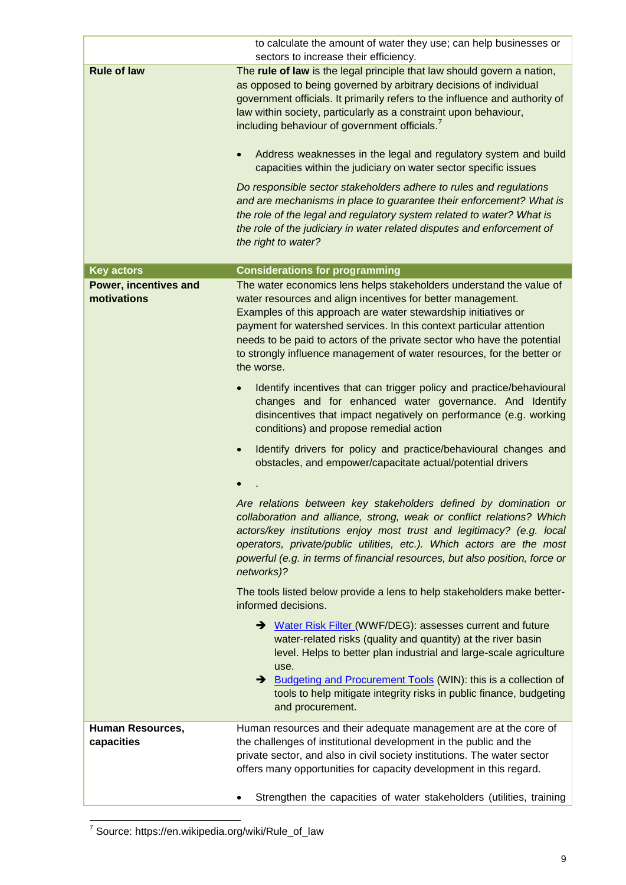|                                       | to calculate the amount of water they use; can help businesses or                                                                                                                                                                                                                                                                                                                                                                                                                                                                                                                                                                                                                                                                                                                                                                                                  |
|---------------------------------------|--------------------------------------------------------------------------------------------------------------------------------------------------------------------------------------------------------------------------------------------------------------------------------------------------------------------------------------------------------------------------------------------------------------------------------------------------------------------------------------------------------------------------------------------------------------------------------------------------------------------------------------------------------------------------------------------------------------------------------------------------------------------------------------------------------------------------------------------------------------------|
| <b>Rule of law</b>                    | sectors to increase their efficiency.<br>The rule of law is the legal principle that law should govern a nation,<br>as opposed to being governed by arbitrary decisions of individual<br>government officials. It primarily refers to the influence and authority of<br>law within society, particularly as a constraint upon behaviour,<br>including behaviour of government officials.<br>Address weaknesses in the legal and regulatory system and build<br>$\bullet$<br>capacities within the judiciary on water sector specific issues<br>Do responsible sector stakeholders adhere to rules and regulations<br>and are mechanisms in place to guarantee their enforcement? What is<br>the role of the legal and regulatory system related to water? What is<br>the role of the judiciary in water related disputes and enforcement of<br>the right to water? |
| <b>Key actors</b>                     | <b>Considerations for programming</b>                                                                                                                                                                                                                                                                                                                                                                                                                                                                                                                                                                                                                                                                                                                                                                                                                              |
| Power, incentives and<br>motivations  | The water economics lens helps stakeholders understand the value of<br>water resources and align incentives for better management.<br>Examples of this approach are water stewardship initiatives or<br>payment for watershed services. In this context particular attention<br>needs to be paid to actors of the private sector who have the potential<br>to strongly influence management of water resources, for the better or<br>the worse.                                                                                                                                                                                                                                                                                                                                                                                                                    |
|                                       | Identify incentives that can trigger policy and practice/behavioural<br>changes and for enhanced water governance. And Identify<br>disincentives that impact negatively on performance (e.g. working<br>conditions) and propose remedial action                                                                                                                                                                                                                                                                                                                                                                                                                                                                                                                                                                                                                    |
|                                       | Identify drivers for policy and practice/behavioural changes and<br>$\bullet$<br>obstacles, and empower/capacitate actual/potential drivers                                                                                                                                                                                                                                                                                                                                                                                                                                                                                                                                                                                                                                                                                                                        |
|                                       | Are relations between key stakeholders defined by domination or<br>collaboration and alliance, strong, weak or conflict relations? Which<br>actors/key institutions enjoy most trust and legitimacy? (e.g. local<br>operators, private/public utilities, etc.). Which actors are the most<br>powerful (e.g. in terms of financial resources, but also position, force or<br>networks)?                                                                                                                                                                                                                                                                                                                                                                                                                                                                             |
|                                       | The tools listed below provide a lens to help stakeholders make better-<br>informed decisions.                                                                                                                                                                                                                                                                                                                                                                                                                                                                                                                                                                                                                                                                                                                                                                     |
|                                       | → Water Risk Filter (WWF/DEG): assesses current and future<br>water-related risks (quality and quantity) at the river basin<br>level. Helps to better plan industrial and large-scale agriculture<br>use.<br>Budgeting and Procurement Tools (WIN): this is a collection of<br>tools to help mitigate integrity risks in public finance, budgeting<br>and procurement.                                                                                                                                                                                                                                                                                                                                                                                                                                                                                             |
| <b>Human Resources,</b><br>capacities | Human resources and their adequate management are at the core of<br>the challenges of institutional development in the public and the<br>private sector, and also in civil society institutions. The water sector<br>offers many opportunities for capacity development in this regard.                                                                                                                                                                                                                                                                                                                                                                                                                                                                                                                                                                            |
|                                       | Strengthen the capacities of water stakeholders (utilities, training                                                                                                                                                                                                                                                                                                                                                                                                                                                                                                                                                                                                                                                                                                                                                                                               |

 7 Source: https://en.wikipedia.org/wiki/Rule\_of\_law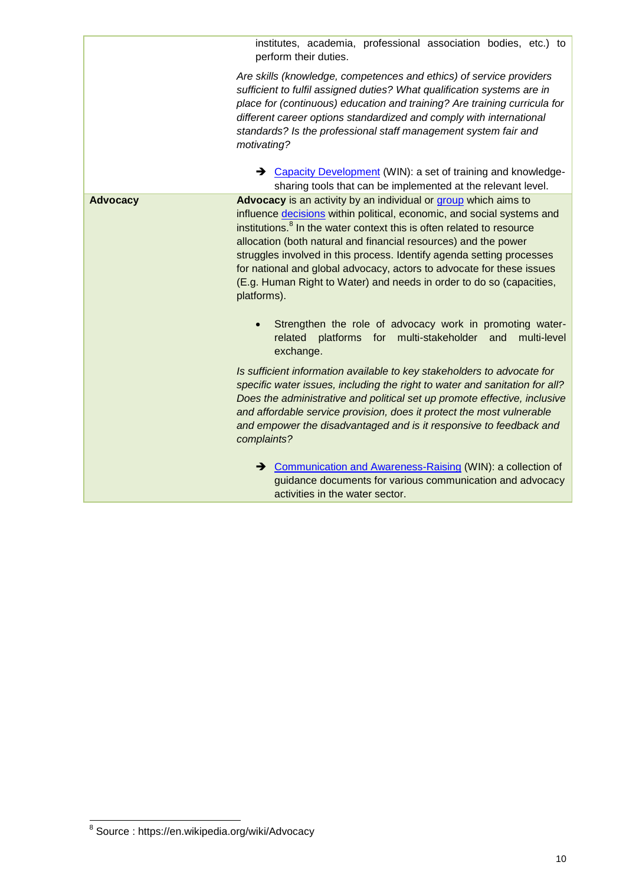institutes, academia, professional association bodies, etc.) to perform their duties.

*Are skills (knowledge, competences and ethics) of service providers sufficient to fulfil assigned duties? What qualification systems are in place for (continuous) education and training? Are training curricula for different career options standardized and comply with international standards? Is the professional staff management system fair and motivating?*

→ [Capacity Development](http://www.waterintegritynetwork.net/2015/04/02/capacity-development/) (WIN): a set of training and knowledgesharing tools that can be implemented at the relevant level. **Advocacy Advocacy** is an activity by an individual or [group](https://en.wikipedia.org/wiki/Advocacy_group) which aims to

influence [decisions](https://en.wikipedia.org/wiki/Decision_making) within political, economic, and social systems and institutions.<sup>8</sup> In the water context this is often related to resource allocation (both natural and financial resources) and the power struggles involved in this process. Identify agenda setting processes for national and global advocacy, actors to advocate for these issues (E.g. Human Right to Water) and needs in order to do so (capacities, platforms).

 Strengthen the role of advocacy work in promoting waterrelated platforms for multi-stakeholder and multi-level exchange.

*Is sufficient information available to key stakeholders to advocate for specific water issues, including the right to water and sanitation for all? Does the administrative and political set up promote effective, inclusive and affordable service provision, does it protect the most vulnerable and empower the disadvantaged and is it responsive to feedback and complaints?* 

→ [Communication and Awareness-Raising](http://www.waterintegritynetwork.net/2015/02/26/communication-and-training/) (WIN): a collection of guidance documents for various communication and advocacy activities in the water sector.

 8 Source : https://en.wikipedia.org/wiki/Advocacy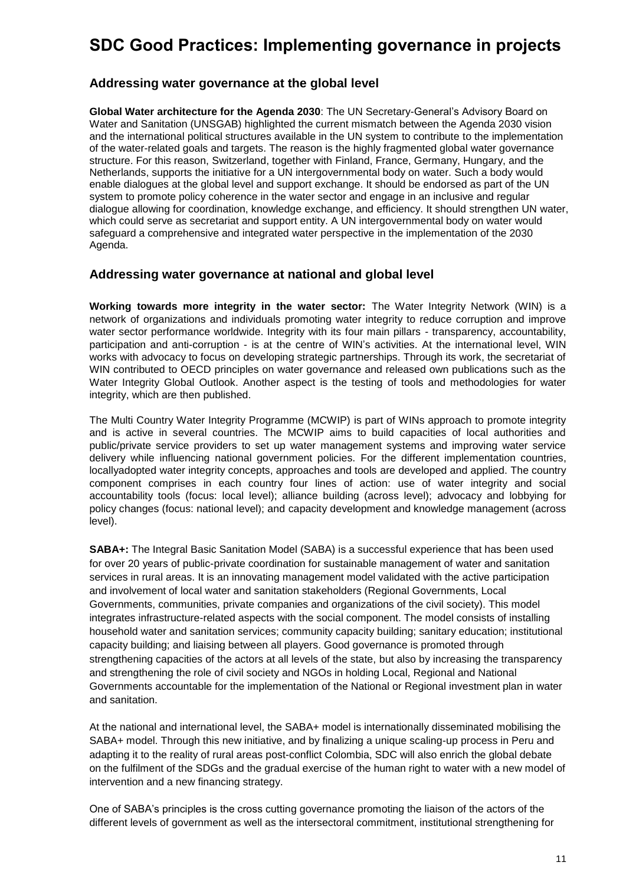## **SDC Good Practices: Implementing governance in projects**

## **Addressing water governance at the global level**

**Global Water architecture for the Agenda 2030**: The UN Secretary-General's Advisory Board on Water and Sanitation (UNSGAB) highlighted the current mismatch between the Agenda 2030 vision and the international political structures available in the UN system to contribute to the implementation of the water-related goals and targets. The reason is the highly fragmented global water governance structure. For this reason, Switzerland, together with Finland, France, Germany, Hungary, and the Netherlands, supports the initiative for a UN intergovernmental body on water. Such a body would enable dialogues at the global level and support exchange. It should be endorsed as part of the UN system to promote policy coherence in the water sector and engage in an inclusive and regular dialogue allowing for coordination, knowledge exchange, and efficiency. It should strengthen UN water, which could serve as secretariat and support entity. A UN intergovernmental body on water would safeguard a comprehensive and integrated water perspective in the implementation of the 2030 Agenda.

### **Addressing water governance at national and global level**

**Working towards more integrity in the water sector:** The Water Integrity Network (WIN) is a network of organizations and individuals promoting water integrity to reduce corruption and improve water sector performance worldwide. Integrity with its four main pillars - transparency, accountability, participation and anti-corruption - is at the centre of WIN's activities. At the international level, WIN works with advocacy to focus on developing strategic partnerships. Through its work, the secretariat of WIN contributed to OECD principles on water governance and released own publications such as the Water Integrity Global Outlook. Another aspect is the testing of tools and methodologies for water integrity, which are then published.

The Multi Country Water Integrity Programme (MCWIP) is part of WINs approach to promote integrity and is active in several countries. The MCWIP aims to build capacities of local authorities and public/private service providers to set up water management systems and improving water service delivery while influencing national government policies. For the different implementation countries, locallyadopted water integrity concepts, approaches and tools are developed and applied. The country component comprises in each country four lines of action: use of water integrity and social accountability tools (focus: local level); alliance building (across level); advocacy and lobbying for policy changes (focus: national level); and capacity development and knowledge management (across level).

**SABA+:** The Integral Basic Sanitation Model (SABA) is a successful experience that has been used for over 20 years of public-private coordination for sustainable management of water and sanitation services in rural areas. It is an innovating management model validated with the active participation and involvement of local water and sanitation stakeholders (Regional Governments, Local Governments, communities, private companies and organizations of the civil society). This model integrates infrastructure-related aspects with the social component. The model consists of installing household water and sanitation services; community capacity building; sanitary education; institutional capacity building; and liaising between all players. Good governance is promoted through strengthening capacities of the actors at all levels of the state, but also by increasing the transparency and strengthening the role of civil society and NGOs in holding Local, Regional and National Governments accountable for the implementation of the National or Regional investment plan in water and sanitation.

At the national and international level, the SABA+ model is internationally disseminated mobilising the SABA+ model. Through this new initiative, and by finalizing a unique scaling-up process in Peru and adapting it to the reality of rural areas post-conflict Colombia, SDC will also enrich the global debate on the fulfilment of the SDGs and the gradual exercise of the human right to water with a new model of intervention and a new financing strategy.

One of SABA's principles is the cross cutting governance promoting the liaison of the actors of the different levels of government as well as the intersectoral commitment, institutional strengthening for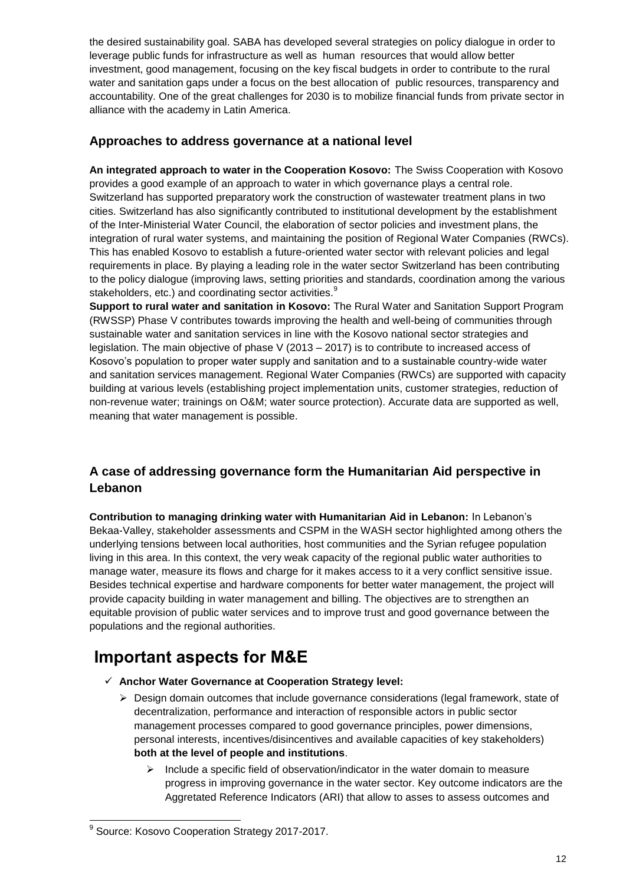the desired sustainability goal. SABA has developed several strategies on policy dialogue in order to leverage public funds for infrastructure as well as human resources that would allow better investment, good management, focusing on the key fiscal budgets in order to contribute to the rural water and sanitation gaps under a focus on the best allocation of public resources, transparency and accountability. One of the great challenges for 2030 is to mobilize financial funds from private sector in alliance with the academy in Latin America.

## **Approaches to address governance at a national level**

**An integrated approach to water in the Cooperation Kosovo:** The Swiss Cooperation with Kosovo provides a good example of an approach to water in which governance plays a central role. Switzerland has supported preparatory work the construction of wastewater treatment plans in two cities. Switzerland has also significantly contributed to institutional development by the establishment of the Inter-Ministerial Water Council, the elaboration of sector policies and investment plans, the integration of rural water systems, and maintaining the position of Regional Water Companies (RWCs). This has enabled Kosovo to establish a future-oriented water sector with relevant policies and legal requirements in place. By playing a leading role in the water sector Switzerland has been contributing to the policy dialogue (improving laws, setting priorities and standards, coordination among the various stakeholders, etc.) and coordinating sector activities.<sup>9</sup>

**Support to rural water and sanitation in Kosovo:** The Rural Water and Sanitation Support Program (RWSSP) Phase V contributes towards improving the health and well-being of communities through sustainable water and sanitation services in line with the Kosovo national sector strategies and legislation. The main objective of phase V (2013 – 2017) is to contribute to increased access of Kosovo's population to proper water supply and sanitation and to a sustainable country-wide water and sanitation services management. Regional Water Companies (RWCs) are supported with capacity building at various levels (establishing project implementation units, customer strategies, reduction of non-revenue water; trainings on O&M; water source protection). Accurate data are supported as well, meaning that water management is possible.

## **A case of addressing governance form the Humanitarian Aid perspective in Lebanon**

**Contribution to managing drinking water with Humanitarian Aid in Lebanon:** In Lebanon's Bekaa-Valley, stakeholder assessments and CSPM in the WASH sector highlighted among others the underlying tensions between local authorities, host communities and the Syrian refugee population living in this area. In this context, the very weak capacity of the regional public water authorities to manage water, measure its flows and charge for it makes access to it a very conflict sensitive issue. Besides technical expertise and hardware components for better water management, the project will provide capacity building in water management and billing. The objectives are to strengthen an equitable provision of public water services and to improve trust and good governance between the populations and the regional authorities.

## **Important aspects for M&E**

- **Anchor Water Governance at Cooperation Strategy level:**
	- $\triangleright$  Design domain outcomes that include governance considerations (legal framework, state of decentralization, performance and interaction of responsible actors in public sector management processes compared to good governance principles, power dimensions, personal interests, incentives/disincentives and available capacities of key stakeholders) **both at the level of people and institutions**.
		- $\triangleright$  Include a specific field of observation/indicator in the water domain to measure progress in improving governance in the water sector. Key outcome indicators are the Aggretated Reference Indicators (ARI) that allow to asses to assess outcomes and

 9 Source: Kosovo Cooperation Strategy 2017-2017.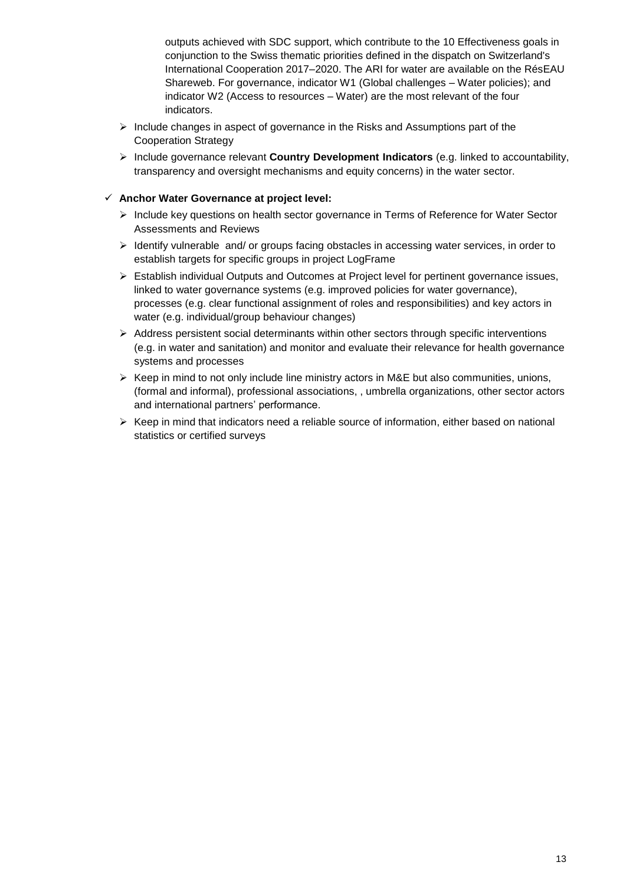outputs achieved with SDC support, which contribute to the 10 Effectiveness goals in conjunction to the Swiss thematic priorities defined in the dispatch on Switzerland's International Cooperation 2017–2020. The ARI for water are available on the RésEAU Shareweb. For governance, indicator W1 (Global challenges – Water policies); and indicator W2 (Access to resources – Water) are the most relevant of the four indicators.

- $\triangleright$  Include changes in aspect of governance in the Risks and Assumptions part of the Cooperation Strategy
- Include governance relevant **Country Development Indicators** (e.g. linked to accountability, transparency and oversight mechanisms and equity concerns) in the water sector.

### **Anchor Water Governance at project level:**

- $\triangleright$  Include key questions on health sector governance in Terms of Reference for Water Sector Assessments and Reviews
- $\triangleright$  Identify vulnerable and/ or groups facing obstacles in accessing water services, in order to establish targets for specific groups in project LogFrame
- $\triangleright$  Establish individual Outputs and Outcomes at Project level for pertinent governance issues, linked to water governance systems (e.g. improved policies for water governance), processes (e.g. clear functional assignment of roles and responsibilities) and key actors in water (e.g. individual/group behaviour changes)
- $\triangleright$  Address persistent social determinants within other sectors through specific interventions (e.g. in water and sanitation) and monitor and evaluate their relevance for health governance systems and processes
- $\triangleright$  Keep in mind to not only include line ministry actors in M&E but also communities, unions, (formal and informal), professional associations, , umbrella organizations, other sector actors and international partners' performance.
- $\triangleright$  Keep in mind that indicators need a reliable source of information, either based on national statistics or certified surveys